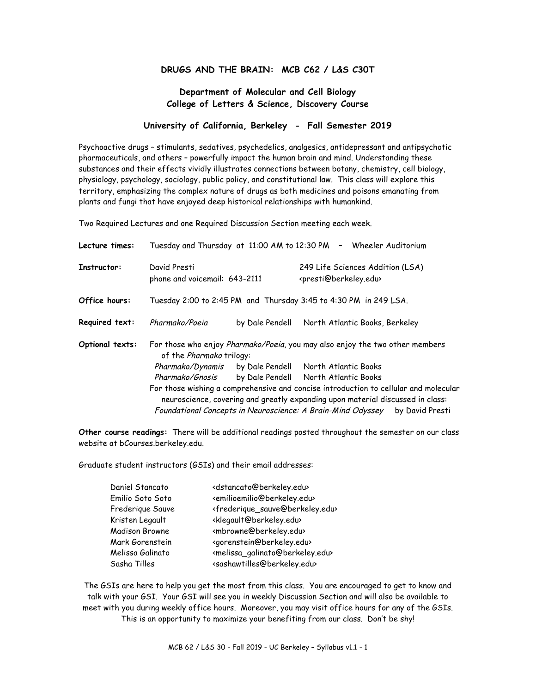#### **DRUGS AND THE BRAIN: MCB C62 / L&S C30T**

# **Department of Molecular and Cell Biology College of Letters & Science, Discovery Course**

## **University of California, Berkeley - Fall Semester 2019**

Psychoactive drugs – stimulants, sedatives, psychedelics, analgesics, antidepressant and antipsychotic pharmaceuticals, and others – powerfully impact the human brain and mind. Understanding these substances and their effects vividly illustrates connections between botany, chemistry, cell biology, physiology, psychology, sociology, public policy, and constitutional law. This class will explore this territory, emphasizing the complex nature of drugs as both medicines and poisons emanating from plants and fungi that have enjoyed deep historical relationships with humankind.

Two Required Lectures and one Required Discussion Section meeting each week.

| Lecture times:  |                                                                                                                                                                        |                 | Tuesday and Thursday at 11:00 AM to 12:30 PM - Wheeler Auditorium               |                 |
|-----------------|------------------------------------------------------------------------------------------------------------------------------------------------------------------------|-----------------|---------------------------------------------------------------------------------|-----------------|
| Instructor:     | David Presti<br>phone and voicemail: 643-2111                                                                                                                          |                 | 249 Life Sciences Addition (LSA)<br><presti@berkeley.edu></presti@berkeley.edu> |                 |
| Office hours:   | Tuesday 2:00 to 2:45 PM and Thursday 3:45 to 4:30 PM in 249 LSA.                                                                                                       |                 |                                                                                 |                 |
| Required text:  | Pharmako/Poeia                                                                                                                                                         | by Dale Pendell | North Atlantic Books, Berkeley                                                  |                 |
| Optional texts: | For those who enjoy Pharmako/Poeia, you may also enjoy the two other members<br>of the Pharmako trilogy:                                                               |                 |                                                                                 |                 |
|                 |                                                                                                                                                                        |                 | Pharmako/Dynamis by Dale Pendell North Atlantic Books                           |                 |
|                 | Pharmako/Gnosis                                                                                                                                                        |                 | by Dale Pendell North Atlantic Books                                            |                 |
|                 | For those wishing a comprehensive and concise introduction to cellular and molecular<br>neuroscience, covering and greatly expanding upon material discussed in class: |                 |                                                                                 |                 |
|                 |                                                                                                                                                                        |                 | Foundational Concepts in Neuroscience: A Brain-Mind Odyssey                     | by David Presti |

**Other course readings:** There will be additional readings posted throughout the semester on our class website at bCourses.berkeley.edu.

Graduate student instructors (GSIs) and their email addresses:

| Daniel Stancato  | <dstancato@berkeley.edu></dstancato@berkeley.edu>               |
|------------------|-----------------------------------------------------------------|
| Emilio Soto Soto | <emilioemilio@berkeley.edu></emilioemilio@berkeley.edu>         |
| Frederique Sauve | <frederique_sauve@berkeley.edu></frederique_sauve@berkeley.edu> |
| Kristen Legault  | <klegault@berkeley.edu></klegault@berkeley.edu>                 |
| Madison Browne   | <mbrowne@berkeley.edu></mbrowne@berkeley.edu>                   |
| Mark Gorenstein  | <gorenstein@berkeley.edu></gorenstein@berkeley.edu>             |
| Melissa Galinato | <melissa_galinato@berkeley.edu></melissa_galinato@berkeley.edu> |
| Sasha Tilles     | <sashawtilles@berkeley.edu></sashawtilles@berkeley.edu>         |
|                  |                                                                 |

The GSIs are here to help you get the most from this class. You are encouraged to get to know and talk with your GSI. Your GSI will see you in weekly Discussion Section and will also be available to meet with you during weekly office hours. Moreover, you may visit office hours for any of the GSIs. This is an opportunity to maximize your benefiting from our class. Don't be shy!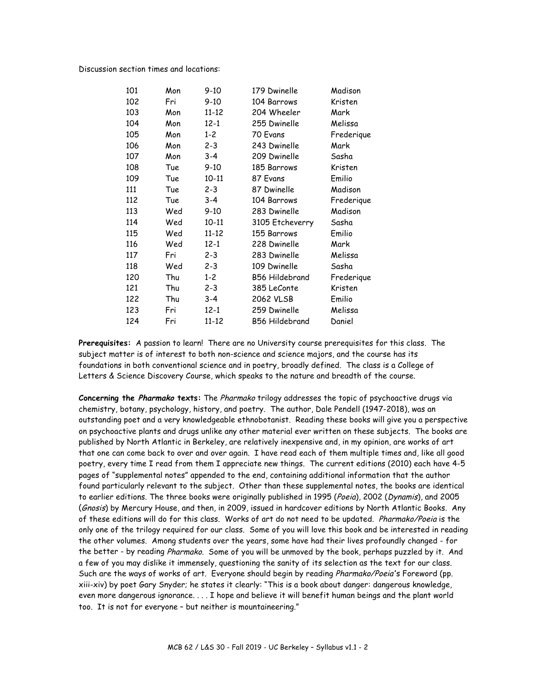Discussion section times and locations:

| 101 | Mon | $9-10$    | 179 Dwinelle          | Madison    |
|-----|-----|-----------|-----------------------|------------|
| 102 | Fri | $9-10$    | 104 Barrows           | Kristen    |
| 103 | Mon | $11 - 12$ | 204 Wheeler           | Mark       |
| 104 | Mon | $12 - 1$  | 255 Dwinelle          | Melissa    |
| 105 | Mon | 1-2       | 70 Evans              | Frederique |
| 106 | Mon | $2 - 3$   | 243 Dwinelle          | Mark       |
| 107 | Mon | $3 - 4$   | 209 Dwinelle          | Sasha      |
| 108 | Tue | $9-10$    | <b>185 Barrows</b>    | Kristen    |
| 109 | Tue | $10 - 11$ | 87 Evans              | Emilio     |
| 111 | Tue | $2 - 3$   | 87 Dwinelle           | Madison    |
| 112 | Tue | $3 - 4$   | 104 Barrows           | Frederique |
| 113 | Wed | $9 - 10$  | 283 Dwinelle          | Madison    |
| 114 | Wed | $10 - 11$ | 3105 Etcheverry       | Sasha      |
| 115 | Wed | $11 - 12$ | 155 Barrows           | Emilio     |
| 116 | Wed | $12 - 1$  | 228 Dwinelle          | Mark       |
| 117 | Fri | $2 - 3$   | 283 Dwinelle          | Melissa    |
| 118 | Wed | $2 - 3$   | 109 Dwinelle          | Sasha      |
| 120 | Thu | $1 - 2$   | <b>B56 Hildebrand</b> | Frederique |
| 121 | Thu | $2 - 3$   | 385 LeConte           | Kristen    |
| 122 | Thu | $3 - 4$   | 2062 VLSB             | Emilio     |
| 123 | Fri | 12-1      | 259 Dwinelle          | Melissa    |
| 124 | Fri | 11-12     | <b>B56 Hildebrand</b> | Daniel     |

**Prerequisites:** A passion to learn! There are no University course prerequisites for this class. The subject matter is of interest to both non-science and science majors, and the course has its foundations in both conventional science and in poetry, broadly defined. The class is a College of Letters & Science Discovery Course, which speaks to the nature and breadth of the course.

**Concerning the Pharmako texts:** The Pharmako trilogy addresses the topic of psychoactive drugs via chemistry, botany, psychology, history, and poetry. The author, Dale Pendell (1947-2018), was an outstanding poet and a very knowledgeable ethnobotanist. Reading these books will give you a perspective on psychoactive plants and drugs unlike any other material ever written on these subjects. The books are published by North Atlantic in Berkeley, are relatively inexpensive and, in my opinion, are works of art that one can come back to over and over again. I have read each of them multiple times and, like all good poetry, every time I read from them I appreciate new things. The current editions (2010) each have 4-5 pages of "supplemental notes" appended to the end, containing additional information that the author found particularly relevant to the subject. Other than these supplemental notes, the books are identical to earlier editions. The three books were originally published in 1995 (Poeia), 2002 (Dynamis), and 2005 (*Gnosis*) by Mercury House, and then, in 2009, issued in hardcover editions by North Atlantic Books. Any of these editions will do for this class. Works of art do not need to be updated. Pharmako/Poeia is the only one of the trilogy required for our class. Some of you will love this book and be interested in reading the other volumes. Among students over the years, some have had their lives profoundly changed - for the better - by reading Pharmako. Some of you will be unmoved by the book, perhaps puzzled by it. And a few of you may dislike it immensely, questioning the sanity of its selection as the text for our class. Such are the ways of works of art. Everyone should begin by reading Pharmako/Poeia's Foreword (pp. xiii-xiv) by poet Gary Snyder; he states it clearly: "This is a book about danger: dangerous knowledge, even more dangerous ignorance. . . . I hope and believe it will benefit human beings and the plant world too. It is not for everyone – but neither is mountaineering."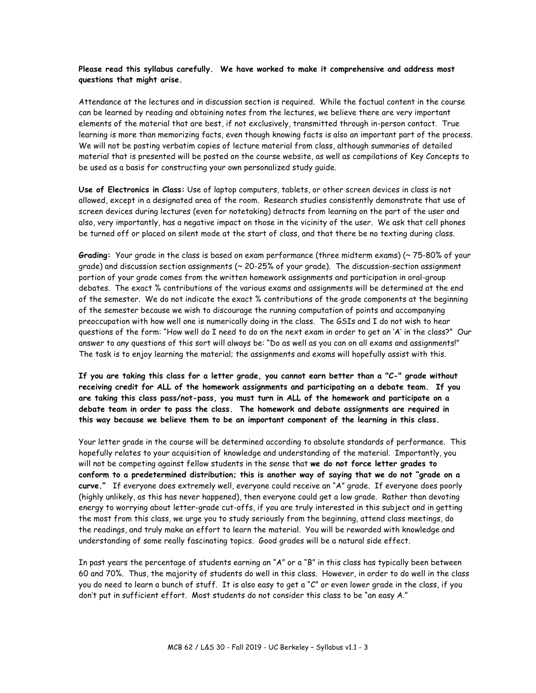### **Please read this syllabus carefully. We have worked to make it comprehensive and address most questions that might arise.**

Attendance at the lectures and in discussion section is required. While the factual content in the course can be learned by reading and obtaining notes from the lectures, we believe there are very important elements of the material that are best, if not exclusively, transmitted through in-person contact. True learning is more than memorizing facts, even though knowing facts is also an important part of the process. We will not be posting verbatim copies of lecture material from class, although summaries of detailed material that is presented will be posted on the course website, as well as compilations of Key Concepts to be used as a basis for constructing your own personalized study guide.

**Use of Electronics in Class:** Use of laptop computers, tablets, or other screen devices in class is not allowed, except in a designated area of the room. Research studies consistently demonstrate that use of screen devices during lectures (even for notetaking) detracts from learning on the part of the user and also, very importantly, has a negative impact on those in the vicinity of the user. We ask that cell phones be turned off or placed on silent mode at the start of class, and that there be no texting during class.

**Grading:** Your grade in the class is based on exam performance (three midterm exams) (~ 75-80% of your grade) and discussion section assignments (~ 20-25% of your grade). The discussion-section assignment portion of your grade comes from the written homework assignments and participation in oral-group debates. The exact % contributions of the various exams and assignments will be determined at the end of the semester. We do not indicate the exact % contributions of the grade components at the beginning of the semester because we wish to discourage the running computation of points and accompanying preoccupation with how well one is numerically doing in the class. The GSIs and I do not wish to hear questions of the form: "How well do I need to do on the next exam in order to get an 'A' in the class?" Our answer to any questions of this sort will always be: "Do as well as you can on all exams and assignments!" The task is to enjoy learning the material; the assignments and exams will hopefully assist with this.

**If you are taking this class for a letter grade, you cannot earn better than a "C-" grade without receiving credit for ALL of the homework assignments and participating on a debate team. If you are taking this class pass/not-pass, you must turn in ALL of the homework and participate on a debate team in order to pass the class. The homework and debate assignments are required in this way because we believe them to be an important component of the learning in this class.**

Your letter grade in the course will be determined according to absolute standards of performance. This hopefully relates to your acquisition of knowledge and understanding of the material. Importantly, you will not be competing against fellow students in the sense that **we do not force letter grades to conform to a predetermined distribution; this is another way of saying that we do not "grade on a curve."** If everyone does extremely well, everyone could receive an "A" grade. If everyone does poorly (highly unlikely, as this has never happened), then everyone could get a low grade. Rather than devoting energy to worrying about letter-grade cut-offs, if you are truly interested in this subject and in getting the most from this class, we urge you to study seriously from the beginning, attend class meetings, do the readings, and truly make an effort to learn the material. You will be rewarded with knowledge and understanding of some really fascinating topics. Good grades will be a natural side effect.

In past years the percentage of students earning an "A" or a "B" in this class has typically been between 60 and 70%. Thus, the majority of students do well in this class. However, in order to do well in the class you do need to learn a bunch of stuff. It is also easy to get a "C" or even lower grade in the class, if you don't put in sufficient effort. Most students do not consider this class to be "an easy A."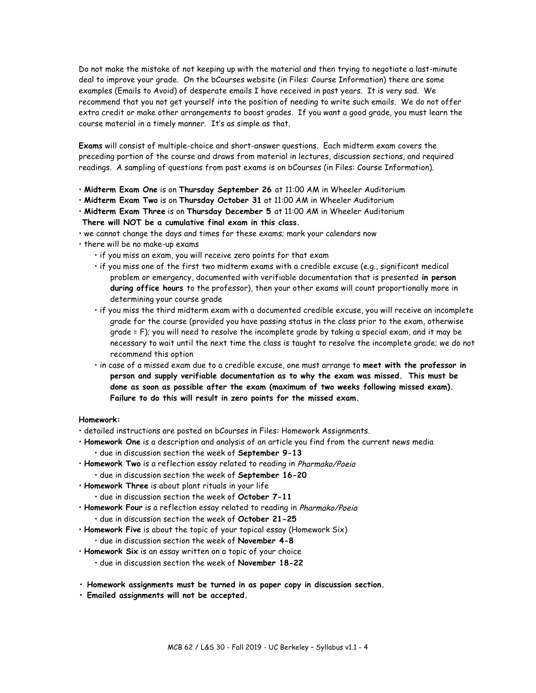Do not make the mistake of not keeping up with the material and then trying to negotiate a last-minute deal to improve your grade. On the bCourses website (in Files: Course Information) there are some examples (Emails to Avoid) of desperate emails I have received in past years. It is very sad. We recommend that you not get yourself into the position of needing to write such emails. We do not offer extra credit or make other arrangements to boost grades. If you want a good grade, you must learn the course material in a timely manner. It's as simple as that.

**Exams** will consist of multiple-choice and short-answer questions. Each midterm exam covers the preceding portion of the course and draws from material in lectures, discussion sections, and required readings. A sampling of questions from past exams is on bCourses (in Files: Course Information).

- **Midterm Exam One** is on **Thursday September 26** at 11:00 AM in Wheeler Auditorium
- **Midterm Exam Two** is on **Thursday October 31** at 11:00 AM in Wheeler Auditorium
- **Midterm Exam Three** is on **Thursday December 5** at 11:00 AM in Wheeler Auditorium **There will NOT be a cumulative final exam in this class.**
- we cannot change the days and times for these exams; mark your calendars now
- there will be no make-up exams
	- if you miss an exam, you will receive zero points for that exam
	- if you miss one of the first two midterm exams with a credible excuse (e.g., significant medical problem or emergency, documented with verifiable documentation that is presented **in person during office hours** to the professor), then your other exams will count proportionally more in determining your course grade
	- if you miss the third midterm exam with a documented credible excuse, you will receive an incomplete grade for the course (provided you have passing status in the class prior to the exam, otherwise grade = F); you will need to resolve the incomplete grade by taking a special exam, and it may be necessary to wait until the next time the class is taught to resolve the incomplete grade; we do not recommend this option
	- in case of a missed exam due to a credible excuse, one must arrange to **meet with the professor in person and supply verifiable documentation as to why the exam was missed. This must be done as soon as possible after the exam (maximum of two weeks following missed exam). Failure to do this will result in zero points for the missed exam.**

#### **Homework:**

- detailed instructions are posted on bCourses in Files: Homework Assignments.
- **Homework One** is a description and analysis of an article you find from the current news media • due in discussion section the week of **September 9-13**
- **Homework Two** is a reflection essay related to reading in Pharmako/Poeia • due in discussion section the week of **September 16-20**
- **Homework Three** is about plant rituals in your life
	- due in discussion section the week of **October 7-11**
- **Homework Four** is a reflection essay related to reading in Pharmako/Poeia • due in discussion section the week of **October 21-25**
- **Homework Five** is about the topic of your topical essay (Homework Six) • due in discussion section the week of **November 4-8**
- **Homework Six** is an essay written on a topic of your choice
	- due in discussion section the week of **November 18-22**
- **Homework assignments must be turned in as paper copy in discussion section.**
- **Emailed assignments will not be accepted.**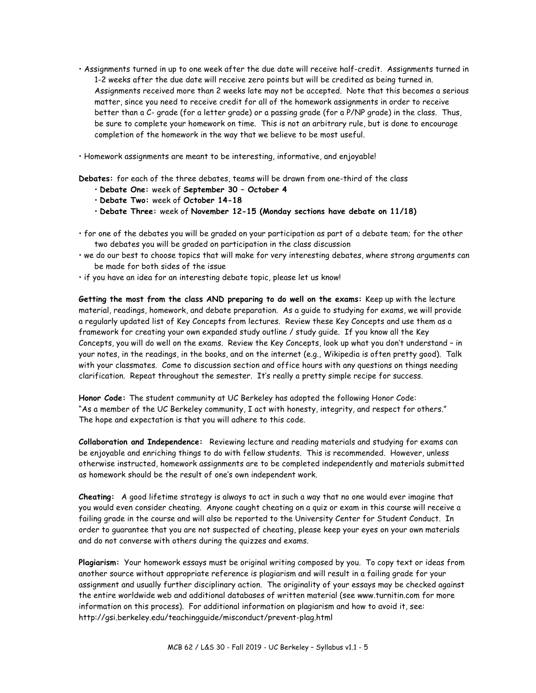- Assignments turned in up to one week after the due date will receive half-credit. Assignments turned in 1-2 weeks after the due date will receive zero points but will be credited as being turned in. Assignments received more than 2 weeks late may not be accepted. Note that this becomes a serious matter, since you need to receive credit for all of the homework assignments in order to receive better than a C- grade (for a letter grade) or a passing grade (for a P/NP grade) in the class. Thus, be sure to complete your homework on time. This is not an arbitrary rule, but is done to encourage completion of the homework in the way that we believe to be most useful.
- Homework assignments are meant to be interesting, informative, and enjoyable!

**Debates:** for each of the three debates, teams will be drawn from one-third of the class

- **Debate One:** week of **September 30 – October 4**
- **Debate Two:** week of **October 14-18**
- **Debate Three:** week of **November 12-15 (Monday sections have debate on 11/18)**
- for one of the debates you will be graded on your participation as part of a debate team; for the other two debates you will be graded on participation in the class discussion
- we do our best to choose topics that will make for very interesting debates, where strong arguments can be made for both sides of the issue
- if you have an idea for an interesting debate topic, please let us know!

**Getting the most from the class AND preparing to do well on the exams:** Keep up with the lecture material, readings, homework, and debate preparation. As a guide to studying for exams, we will provide a regularly updated list of Key Concepts from lectures. Review these Key Concepts and use them as a framework for creating your own expanded study outline / study guide. If you know all the Key Concepts, you will do well on the exams. Review the Key Concepts, look up what you don't understand – in your notes, in the readings, in the books, and on the internet (e.g., Wikipedia is often pretty good). Talk with your classmates. Come to discussion section and office hours with any questions on things needing clarification. Repeat throughout the semester. It's really a pretty simple recipe for success.

**Honor Code:** The student community at UC Berkeley has adopted the following Honor Code: "As a member of the UC Berkeley community, I act with honesty, integrity, and respect for others." The hope and expectation is that you will adhere to this code.

**Collaboration and Independence:** Reviewing lecture and reading materials and studying for exams can be enjoyable and enriching things to do with fellow students. This is recommended. However, unless otherwise instructed, homework assignments are to be completed independently and materials submitted as homework should be the result of one's own independent work.

**Cheating:** A good lifetime strategy is always to act in such a way that no one would ever imagine that you would even consider cheating. Anyone caught cheating on a quiz or exam in this course will receive a failing grade in the course and will also be reported to the University Center for Student Conduct. In order to guarantee that you are not suspected of cheating, please keep your eyes on your own materials and do not converse with others during the quizzes and exams.

**Plagiarism:** Your homework essays must be original writing composed by you. To copy text or ideas from another source without appropriate reference is plagiarism and will result in a failing grade for your assignment and usually further disciplinary action. The originality of your essays may be checked against the entire worldwide web and additional databases of written material (see www.turnitin.com for more information on this process). For additional information on plagiarism and how to avoid it, see: http://gsi.berkeley.edu/teachingguide/misconduct/prevent-plag.html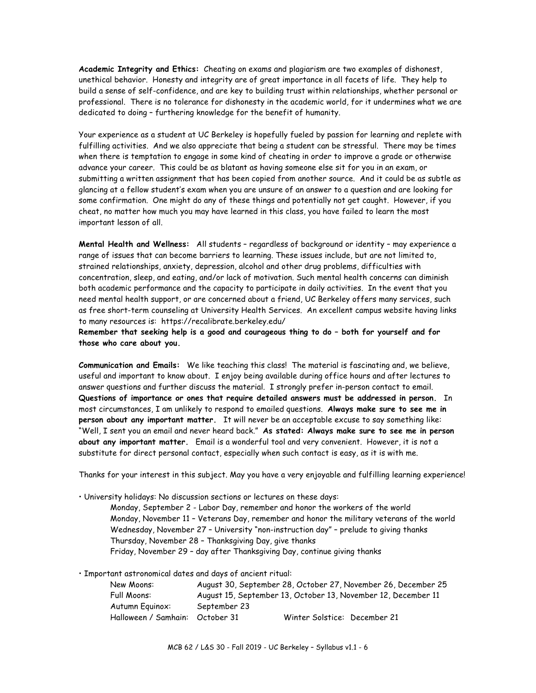**Academic Integrity and Ethics:** Cheating on exams and plagiarism are two examples of dishonest, unethical behavior. Honesty and integrity are of great importance in all facets of life. They help to build a sense of self-confidence, and are key to building trust within relationships, whether personal or professional. There is no tolerance for dishonesty in the academic world, for it undermines what we are dedicated to doing – furthering knowledge for the benefit of humanity.

Your experience as a student at UC Berkeley is hopefully fueled by passion for learning and replete with fulfilling activities. And we also appreciate that being a student can be stressful. There may be times when there is temptation to engage in some kind of cheating in order to improve a grade or otherwise advance your career. This could be as blatant as having someone else sit for you in an exam, or submitting a written assignment that has been copied from another source. And it could be as subtle as glancing at a fellow student's exam when you are unsure of an answer to a question and are looking for some confirmation. One might do any of these things and potentially not get caught. However, if you cheat, no matter how much you may have learned in this class, you have failed to learn the most important lesson of all.

**Mental Health and Wellness:** All students – regardless of background or identity – may experience a range of issues that can become barriers to learning. These issues include, but are not limited to, strained relationships, anxiety, depression, alcohol and other drug problems, difficulties with concentration, sleep, and eating, and/or lack of motivation. Such mental health concerns can diminish both academic performance and the capacity to participate in daily activities. In the event that you need mental health support, or are concerned about a friend, UC Berkeley offers many services, such as free short-term counseling at University Health Services. An excellent campus website having links to many resources is: https://recalibrate.berkeley.edu/

**Remember that seeking help is a good and courageous thing to do – both for yourself and for those who care about you.**

**Communication and Emails:** We like teaching this class! The material is fascinating and, we believe, useful and important to know about. I enjoy being available during office hours and after lectures to answer questions and further discuss the material. I strongly prefer in-person contact to email. **Questions of importance or ones that require detailed answers must be addressed in person.** In most circumstances, I am unlikely to respond to emailed questions. **Always make sure to see me in person about any important matter.** It will never be an acceptable excuse to say something like: "Well, I sent you an email and never heard back." **As stated: Always make sure to see me in person about any important matter.** Email is a wonderful tool and very convenient. However, it is not a substitute for direct personal contact, especially when such contact is easy, as it is with me.

Thanks for your interest in this subject. May you have a very enjoyable and fulfilling learning experience!

• University holidays: No discussion sections or lectures on these days:

Monday, September 2 - Labor Day, remember and honor the workers of the world Monday, November 11 – Veterans Day, remember and honor the military veterans of the world Wednesday, November 27 – University "non-instruction day" – prelude to giving thanks Thursday, November 28 – Thanksgiving Day, give thanks Friday, November 29 – day after Thanksgiving Day, continue giving thanks

• Important astronomical dates and days of ancient ritual:

| New Moons:                      |              | August 30, September 28, October 27, November 26, December 25 |
|---------------------------------|--------------|---------------------------------------------------------------|
| Full Moons:                     |              | August 15, September 13, October 13, November 12, December 11 |
| Autumn Equinox:                 | September 23 |                                                               |
| Halloween / Samhain: October 31 |              | Winter Solstice: December 21                                  |